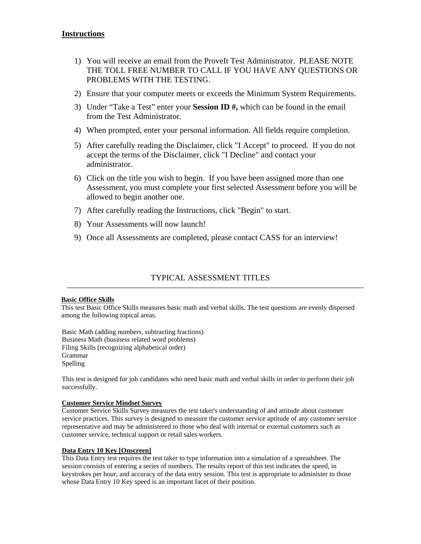# **Instructions**

- 1) You will receive an email from the ProveIt Test Administrator. PLEASE NOTE THE TOLL FREE NUMBER TO CALL IF YOU HAVE ANY QUESTIONS OR PROBLEMS WITH THE TESTING.
- 2) Ensure that your computer meets or exceeds the Minimum System Requirements.
- 3) Under "Take a Test" enter your **Session ID #,** which can be found in the email from the Test Administrator*.*
- 4) When prompted, enter your personal information. All fields require completion.
- 5) After carefully reading the Disclaimer, click "I Accept" to proceed. If you do not accept the terms of the Disclaimer, click "I Decline" and contact your administrator.
- 6) Click on the title you wish to begin. If you have been assigned more than one Assessment, you must complete your first selected Assessment before you will be allowed to begin another one.
- 7) After carefully reading the Instructions, click "Begin" to start.
- 8) Your Assessments will now launch!
- 9) Once all Assessments are completed, please contact CASS for an interview!

# TYPICAL ASSESSMENT TITLES

#### **Basic Office Skills**

This test Basic Office Skills measures basic math and verbal skills. The test questions are evenly dispersed among the following topical areas.

Basic Math (adding numbers, subtracting fractions) Business Math (business related word problems) Filing Skills (recognizing alphabetical order) Grammar Spelling

This test is designed for job candidates who need basic math and verbal skills in order to perform their job successfully.

## **Customer Service Mindset Survey**

Customer Service Skills Survey measures the test taker's understanding of and attitude about customer service practices. This survey is designed to measure the customer service aptitude of any customer service representative and may be administered to those who deal with internal or external customers such as customer service, technical support or retail sales workers.

### **Data Entry 10 Key [Onscreen]**

This Data Entry test requires the test taker to type information into a simulation of a spreadsheet. The session consists of entering a series of numbers. The results report of this test indicates the speed, in keystrokes per hour, and accuracy of the data entry session. This test is appropriate to administer to those whose Data Entry 10 Key speed is an important facet of their position.